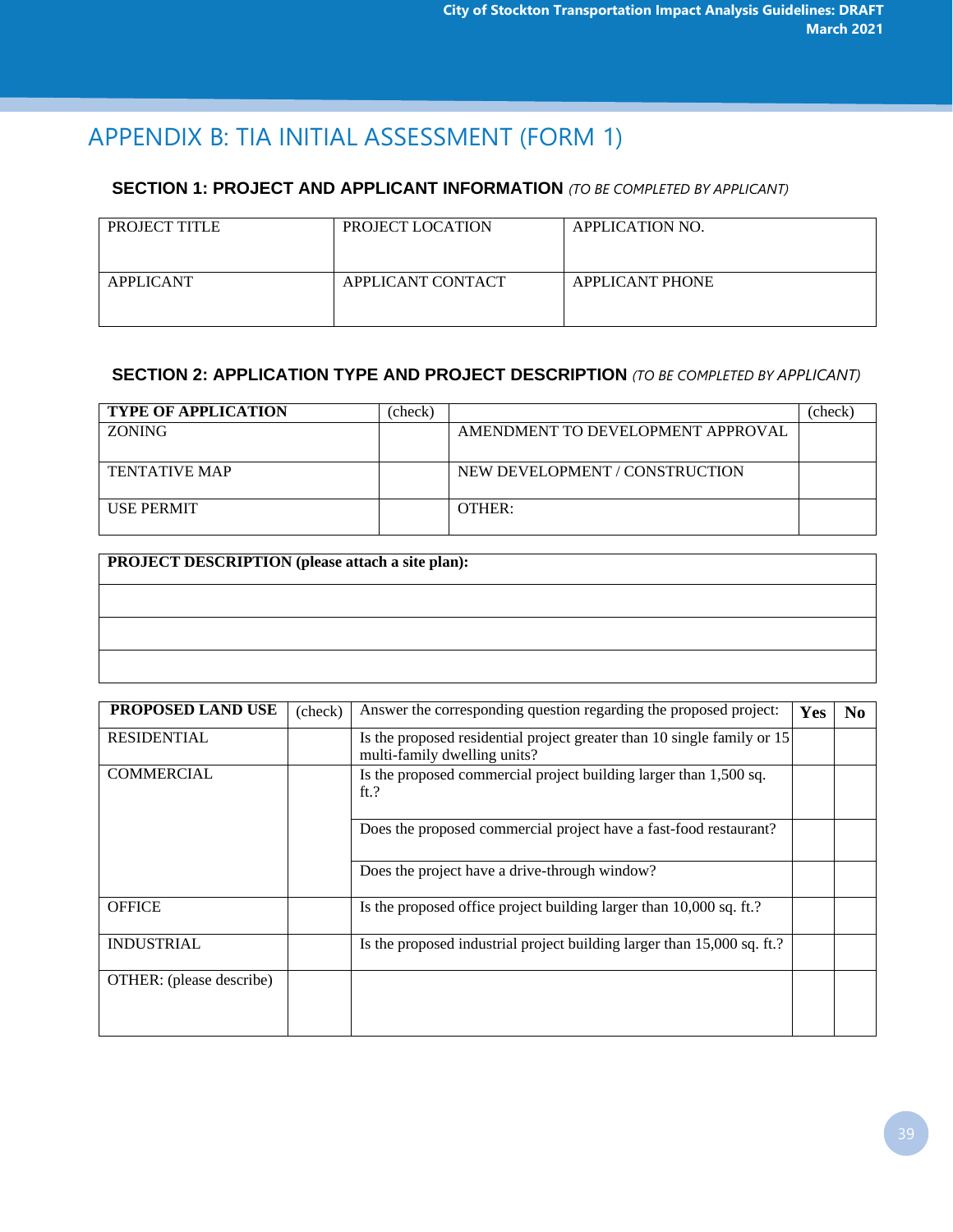# APPENDIX B: TIA INITIAL ASSESSMENT (FORM 1)

#### **SECTION 1: PROJECT AND APPLICANT INFORMATION** *(TO BE COMPLETED BY APPLICANT)*

| PROJECT TITLE    | PROJECT LOCATION  | APPLICATION NO.        |
|------------------|-------------------|------------------------|
| <b>APPLICANT</b> | APPLICANT CONTACT | <b>APPLICANT PHONE</b> |

#### **SECTION 2: APPLICATION TYPE AND PROJECT DESCRIPTION** *(TO BE COMPLETED BY APPLICANT)*

| <b>TYPE OF APPLICATION</b> | (check) |                                   | chec. |
|----------------------------|---------|-----------------------------------|-------|
| <b>ZONING</b>              |         | AMENDMENT TO DEVELOPMENT APPROVAL |       |
| <b>TENTATIVE MAP</b>       |         | NEW DEVELOPMENT / CONSTRUCTION    |       |
| <b>USE PERMIT</b>          |         | OTHER:                            |       |

#### **PROJECT DESCRIPTION (please attach a site plan):**

| <b>PROPOSED LAND USE</b> | (check) | Answer the corresponding question regarding the proposed project:                                       | Yes | N <sub>0</sub> |
|--------------------------|---------|---------------------------------------------------------------------------------------------------------|-----|----------------|
| <b>RESIDENTIAL</b>       |         | Is the proposed residential project greater than 10 single family or 15<br>multi-family dwelling units? |     |                |
| <b>COMMERCIAL</b>        |         | Is the proposed commercial project building larger than 1,500 sq.<br>ft.?                               |     |                |
|                          |         | Does the proposed commercial project have a fast-food restaurant?                                       |     |                |
|                          |         | Does the project have a drive-through window?                                                           |     |                |
| <b>OFFICE</b>            |         | Is the proposed office project building larger than 10,000 sq. ft.?                                     |     |                |
| <b>INDUSTRIAL</b>        |         | Is the proposed industrial project building larger than 15,000 sq. ft.?                                 |     |                |
| OTHER: (please describe) |         |                                                                                                         |     |                |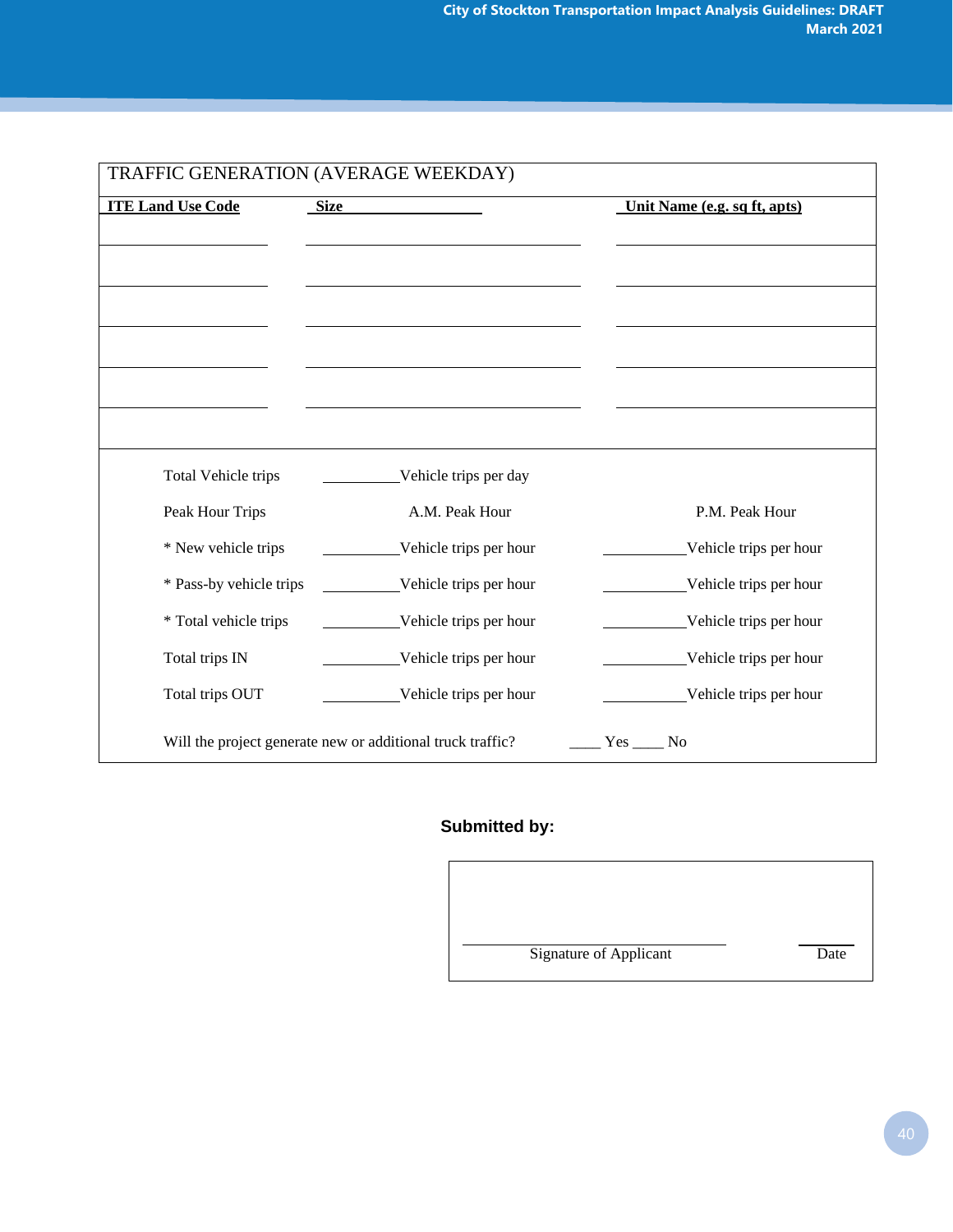| <b>ITE Land Use Code</b><br><b>Size</b> |                        | Unit Name (e.g. sq ft, apts) |
|-----------------------------------------|------------------------|------------------------------|
|                                         |                        |                              |
|                                         |                        |                              |
|                                         |                        |                              |
|                                         |                        |                              |
|                                         |                        |                              |
| Total Vehicle trips                     | Vehicle trips per day  |                              |
| Peak Hour Trips                         | A.M. Peak Hour         | P.M. Peak Hour               |
| * New vehicle trips                     | Vehicle trips per hour | Vehicle trips per hour       |
| * Pass-by vehicle trips                 | Vehicle trips per hour | Vehicle trips per hour       |
| * Total vehicle trips                   | Vehicle trips per hour | Vehicle trips per hour       |
| Total trips IN                          | Vehicle trips per hour | Vehicle trips per hour       |
| Total trips OUT                         | Vehicle trips per hour | Vehicle trips per hour       |

### **Submitted by:**